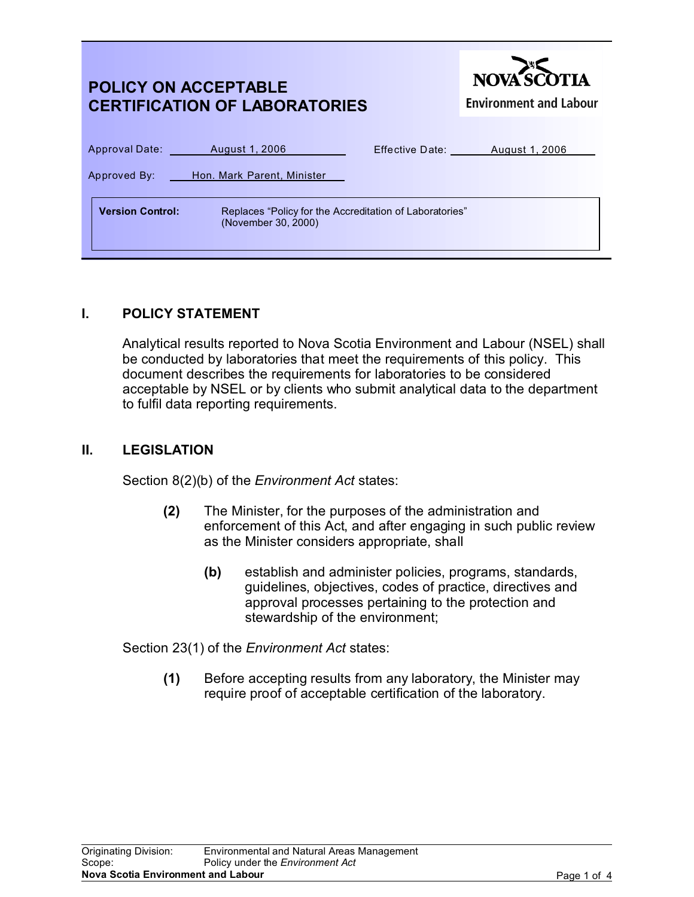| <b>POLICY ON ACCEPTABLE</b><br><b>CERTIFICATION OF LABORATORIES</b>                                       | NOVA SCOTIA<br><b>Environment and Labour</b> |
|-----------------------------------------------------------------------------------------------------------|----------------------------------------------|
| Approval Date: August 1, 2006<br>Approved By: Hon. Mark Parent, Minister                                  | Effective Date: August 1, 2006               |
| <b>Version Control:</b><br>Replaces "Policy for the Accreditation of Laboratories"<br>(November 30, 2000) |                                              |

## **I. POLICY STATEMENT**

Analytical results reported to Nova Scotia Environment and Labour (NSEL) shall be conducted by laboratories that meet the requirements of this policy. This document describes the requirements for laboratories to be considered acceptable by NSEL or by clients who submit analytical data to the department to fulfil data reporting requirements.

#### **II. LEGISLATION**

Section 8(2)(b) of the *Environment Act* states:

- **(2)** The Minister, for the purposes of the administration and enforcement of this Act, and after engaging in such public review as the Minister considers appropriate, shall
	- **(b)** establish and administer policies, programs, standards, guidelines, objectives, codes of practice, directives and approval processes pertaining to the protection and stewardship of the environment;

Section 23(1) of the *Environment Act* states:

**(1)** Before accepting results from any laboratory, the Minister may require proof of acceptable certification of the laboratory.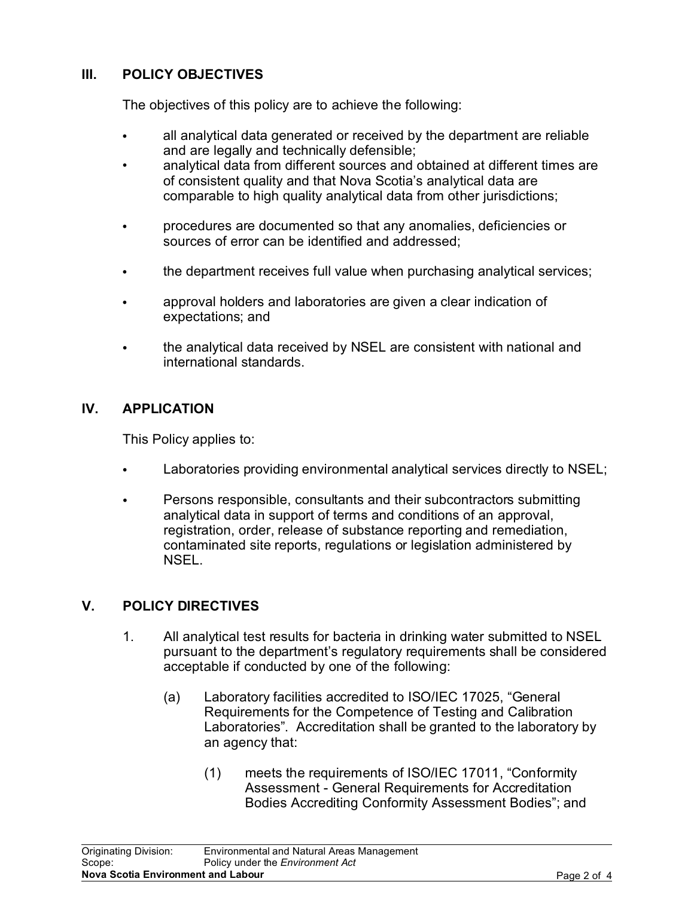# **III. POLICY OBJECTIVES**

The objectives of this policy are to achieve the following:

- all analytical data generated or received by the department are reliable and are legally and technically defensible;
- analytical data from different sources and obtained at different times are of consistent quality and that Nova Scotia's analytical data are comparable to high quality analytical data from other jurisdictions;
- C procedures are documented so that any anomalies, deficiencies or sources of error can be identified and addressed;
- the department receives full value when purchasing analytical services;
- approval holders and laboratories are given a clear indication of expectations; and
- the analytical data received by NSEL are consistent with national and international standards.

## **IV. APPLICATION**

This Policy applies to:

- Laboratories providing environmental analytical services directly to NSEL;
- Persons responsible, consultants and their subcontractors submitting analytical data in support of terms and conditions of an approval, registration, order, release of substance reporting and remediation, contaminated site reports, regulations or legislation administered by NSEL.

## **V. POLICY DIRECTIVES**

- 1. All analytical test results for bacteria in drinking water submitted to NSEL pursuant to the department's regulatory requirements shall be considered acceptable if conducted by one of the following:
	- (a) Laboratory facilities accredited to ISO/IEC 17025, "General Requirements for the Competence of Testing and Calibration Laboratories". Accreditation shall be granted to the laboratory by an agency that:
		- (1) meets the requirements of ISO/IEC 17011, "Conformity Assessment - General Requirements for Accreditation Bodies Accrediting Conformity Assessment Bodies"; and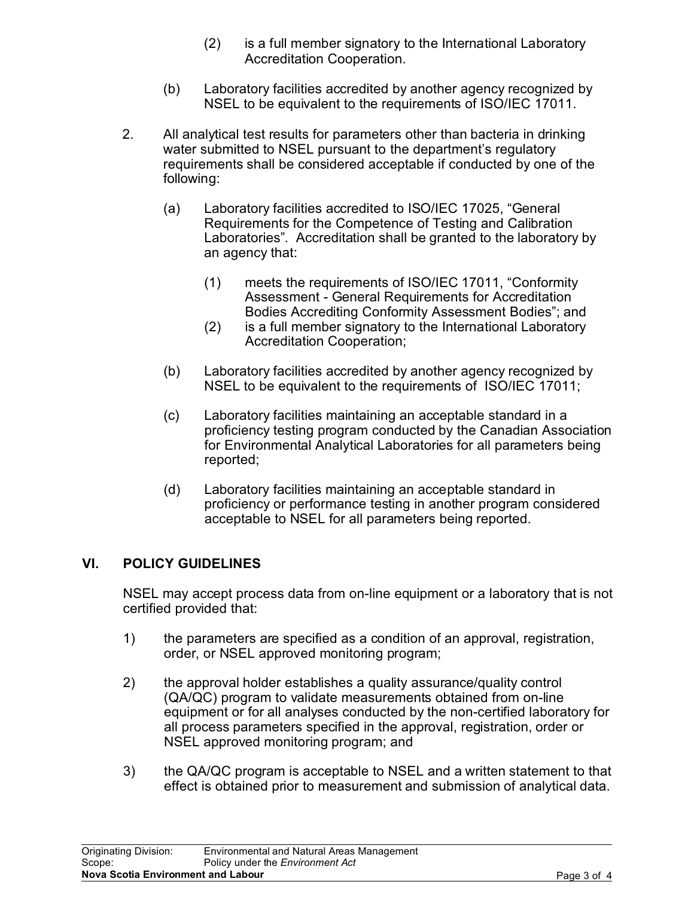- (2) is a full member signatory to the International Laboratory Accreditation Cooperation.
- (b) Laboratory facilities accredited by another agency recognized by NSEL to be equivalent to the requirements of ISO/IEC 17011.
- 2. All analytical test results for parameters other than bacteria in drinking water submitted to NSEL pursuant to the department's regulatory requirements shall be considered acceptable if conducted by one of the following:
	- (a) Laboratory facilities accredited to ISO/IEC 17025, "General Requirements for the Competence of Testing and Calibration Laboratories". Accreditation shall be granted to the laboratory by an agency that:
		- (1) meets the requirements of ISO/IEC 17011, "Conformity Assessment - General Requirements for Accreditation Bodies Accrediting Conformity Assessment Bodies"; and
		- (2) is a full member signatory to the International Laboratory Accreditation Cooperation;
	- (b) Laboratory facilities accredited by another agency recognized by NSEL to be equivalent to the requirements of ISO/IEC 17011;
	- (c) Laboratory facilities maintaining an acceptable standard in a proficiency testing program conducted by the Canadian Association for Environmental Analytical Laboratories for all parameters being reported;
	- (d) Laboratory facilities maintaining an acceptable standard in proficiency or performance testing in another program considered acceptable to NSEL for all parameters being reported.

## **VI. POLICY GUIDELINES**

NSEL may accept process data from on-line equipment or a laboratory that is not certified provided that:

- 1) the parameters are specified as a condition of an approval, registration, order, or NSEL approved monitoring program;
- 2) the approval holder establishes a quality assurance/quality control (QA/QC) program to validate measurements obtained from on-line equipment or for all analyses conducted by the non-certified laboratory for all process parameters specified in the approval, registration, order or NSEL approved monitoring program; and
- 3) the QA/QC program is acceptable to NSEL and a written statement to that effect is obtained prior to measurement and submission of analytical data.